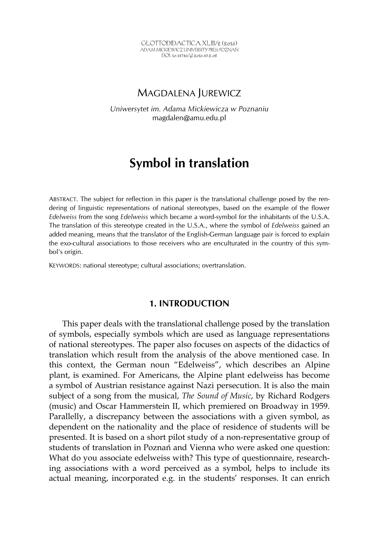GLOTTODIDACTICA XLIII/2 (2016) ADAM MICKIEWICZ UNIVERSITY PRESS POZNAŃ DOI: 10.14746/gl.2016.43.2.08

## MAGDALENA JUREWICZ

*Uniwersytet im. Adama Mickiewicza w Poznaniu*  magdalen@amu.edu.pl

# **Symbol in translation**

ABSTRACT. The subject for reflection in this paper is the translational challenge posed by the rendering of linguistic representations of national stereotypes, based on the example of the flower *Edelweiss* from the song *Edelweiss* which became a word-symbol for the inhabitants of the U.S.A. The translation of this stereotype created in the U.S.A., where the symbol of *Edelweiss* gained an added meaning, means that the translator of the English-German language pair is forced to explain the exo-cultural associations to those receivers who are enculturated in the country of this symbol's origin.

KEYWORDS: national stereotype; cultural associations; overtranslation.

## **1. INTRODUCTION**

This paper deals with the translational challenge posed by the translation of symbols, especially symbols which are used as language representations of national stereotypes. The paper also focuses on aspects of the didactics of translation which result from the analysis of the above mentioned case. In this context, the German noun "Edelweiss", which describes an Alpine plant, is examined. For Americans, the Alpine plant edelweiss has become a symbol of Austrian resistance against Nazi persecution. It is also the main subject of a song from the musical, *The Sound of Music*, by Richard Rodgers (music) and Oscar Hammerstein II, which premiered on Broadway in 1959. Parallelly, a discrepancy between the associations with a given symbol, as dependent on the nationality and the place of residence of students will be presented. It is based on a short pilot study of a non-representative group of students of translation in Poznań and Vienna who were asked one question: What do you associate edelweiss with? This type of questionnaire, researching associations with a word perceived as a symbol, helps to include its actual meaning, incorporated e.g. in the students' responses. It can enrich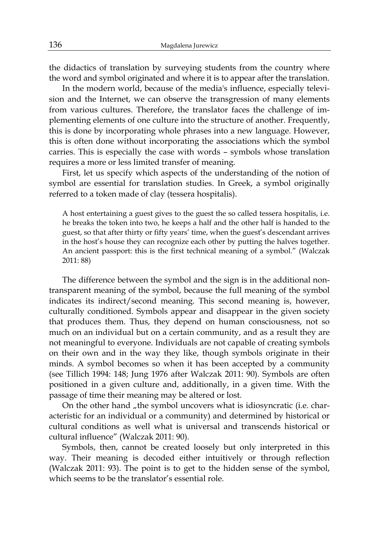the didactics of translation by surveying students from the country where the word and symbol originated and where it is to appear after the translation.

In the modern world, because of the media's influence, especially television and the Internet, we can observe the transgression of many elements from various cultures. Therefore, the translator faces the challenge of implementing elements of one culture into the structure of another. Frequently, this is done by incorporating whole phrases into a new language. However, this is often done without incorporating the associations which the symbol carries. This is especially the case with words – symbols whose translation requires a more or less limited transfer of meaning.

First, let us specify which aspects of the understanding of the notion of symbol are essential for translation studies. In Greek, a symbol originally referred to a token made of clay (tessera hospitalis).

A host entertaining a guest gives to the guest the so called tessera hospitalis, i.e. he breaks the token into two, he keeps a half and the other half is handed to the guest, so that after thirty or fifty years' time, when the guest's descendant arrives in the host's house they can recognize each other by putting the halves together. An ancient passport: this is the first technical meaning of a symbol." (Walczak 2011: 88)

The difference between the symbol and the sign is in the additional nontransparent meaning of the symbol, because the full meaning of the symbol indicates its indirect/second meaning. This second meaning is, however, culturally conditioned. Symbols appear and disappear in the given society that produces them. Thus, they depend on human consciousness, not so much on an individual but on a certain community, and as a result they are not meaningful to everyone. Individuals are not capable of creating symbols on their own and in the way they like, though symbols originate in their minds. A symbol becomes so when it has been accepted by a community (see Tillich 1994: 148; Jung 1976 after Walczak 2011: 90). Symbols are often positioned in a given culture and, additionally, in a given time. With the passage of time their meaning may be altered or lost.

On the other hand , the symbol uncovers what is idiosyncratic (i.e. characteristic for an individual or a community) and determined by historical or cultural conditions as well what is universal and transcends historical or cultural influence" (Walczak 2011: 90).

Symbols, then, cannot be created loosely but only interpreted in this way. Their meaning is decoded either intuitively or through reflection (Walczak 2011: 93). The point is to get to the hidden sense of the symbol, which seems to be the translator's essential role.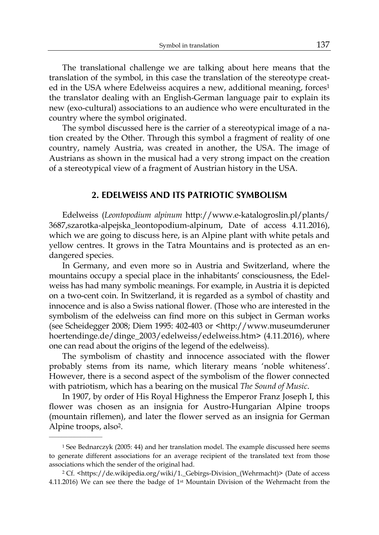The translational challenge we are talking about here means that the translation of the symbol, in this case the translation of the stereotype created in the USA where Edelweiss acquires a new, additional meaning, forces<sup>1</sup> the translator dealing with an English-German language pair to explain its new (exo-cultural) associations to an audience who were enculturated in the country where the symbol originated.

The symbol discussed here is the carrier of a stereotypical image of a nation created by the Other. Through this symbol a fragment of reality of one country, namely Austria, was created in another, the USA. The image of Austrians as shown in the musical had a very strong impact on the creation of a stereotypical view of a fragment of Austrian history in the USA.

### **2. EDELWEISS AND ITS PATRIOTIC SYMBOLISM**

Edelweiss (*Leontopodium alpinum* http://www.e-katalogroslin.pl/plants/ 3687,szarotka-alpejska\_leontopodium-alpinum, Date of access 4.11.2016), which we are going to discuss here, is an Alpine plant with white petals and yellow centres. It grows in the Tatra Mountains and is protected as an endangered species.

In Germany, and even more so in Austria and Switzerland, where the mountains occupy a special place in the inhabitants' consciousness, the Edelweiss has had many symbolic meanings. For example, in Austria it is depicted on a two-cent coin. In Switzerland, it is regarded as a symbol of chastity and innocence and is also a Swiss national flower. (Those who are interested in the symbolism of the edelweiss can find more on this subject in German works (see Scheidegger 2008; Diem 1995: 402-403 or <http://www.museumderuner hoertendinge.de/dinge\_2003/edelweiss/edelweiss.htm> (4.11.2016), where one can read about the origins of the legend of the edelweiss).

The symbolism of chastity and innocence associated with the flower probably stems from its name, which literary means 'noble whiteness'. However, there is a second aspect of the symbolism of the flower connected with patriotism, which has a bearing on the musical *The Sound of Music*.

In 1907, by order of His Royal Highness the Emperor Franz Joseph I, this flower was chosen as an insignia for Austro-Hungarian Alpine troops (mountain riflemen), and later the flower served as an insignia for German Alpine troops, also<sup>2</sup>.

<sup>1</sup> See Bednarczyk (2005: 44) and her translation model. The example discussed here seems to generate different associations for an average recipient of the translated text from those associations which the sender of the original had.

<sup>2</sup> Cf. <https://de.wikipedia.org/wiki/1.\_Gebirgs-Division\_(Wehrmacht)> (Date of access 4.11.2016) We can see there the badge of  $1<sup>st</sup>$  Mountain Division of the Wehrmacht from the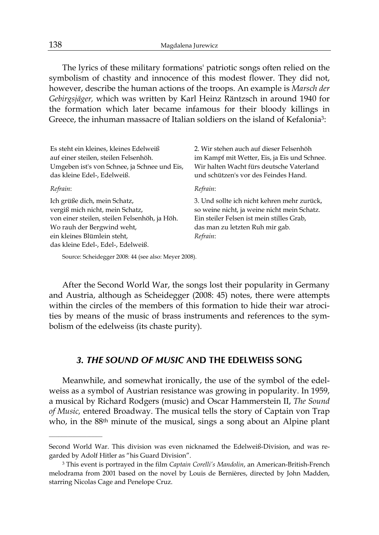The lyrics of these military formations' patriotic songs often relied on the symbolism of chastity and innocence of this modest flower. They did not, however, describe the human actions of the troops. An example is *Marsch der Gebirgsjäger,* which was written by Karl Heinz Räntzsch in around 1940 for the formation which later became infamous for their bloody killings in Greece, the inhuman massacre of Italian soldiers on the island of Kefalonia<sup>3</sup>:

Es steht ein kleines, kleines Edelweiß auf einer steilen, steilen Felsenhöh. Umgeben ist's von Schnee, ja Schnee und Eis, das kleine Edel-, Edelweiß. *Refrain*:

Ich grüße dich, mein Schatz, vergiß mich nicht, mein Schatz, von einer steilen, steilen Felsenhöh, ja Höh. Wo rauh der Bergwind weht, ein kleines Blümlein steht, das kleine Edel-, Edel-, Edelweiß.

 $\mathcal{L}_\text{max}$  and  $\mathcal{L}_\text{max}$ 

2. Wir stehen auch auf dieser Felsenhöh im Kampf mit Wetter, Eis, ja Eis und Schnee. Wir halten Wacht fürs deutsche Vaterland und schützen's vor des Feindes Hand.

#### *Refrain*:

3. Und sollte ich nicht kehren mehr zurück, so weine nicht, ja weine nicht mein Schatz. Ein steiler Felsen ist mein stilles Grab, das man zu letzten Ruh mir gab. *Refrain*:

Source: Scheidegger 2008: 44 (see also: Meyer 2008).

After the Second World War, the songs lost their popularity in Germany and Austria, although as Scheidegger (2008: 45) notes, there were attempts within the circles of the members of this formation to hide their war atrocities by means of the music of brass instruments and references to the symbolism of the edelweiss (its chaste purity).

## *3. THE SOUND OF MUSIC* **AND THE EDELWEISS SONG**

Meanwhile, and somewhat ironically, the use of the symbol of the edelweiss as a symbol of Austrian resistance was growing in popularity. In 1959, a musical by Richard Rodgers (music) and Oscar Hammerstein II, *The Sound of Music,* entered Broadway. The musical tells the story of Captain von Trap who, in the 88th minute of the musical, sings a song about an Alpine plant

Second World War. This division was even nicknamed the Edelweiß-Division, and was regarded by Adolf Hitler as "his Guard Division".

<sup>3</sup> This event is portrayed in the film *Captain Corelli's Mandolin*, an American-British-French melodrama from 2001 based on the novel by Louis de Bernières, directed by John Madden, starring Nicolas Cage and Penelope Cruz.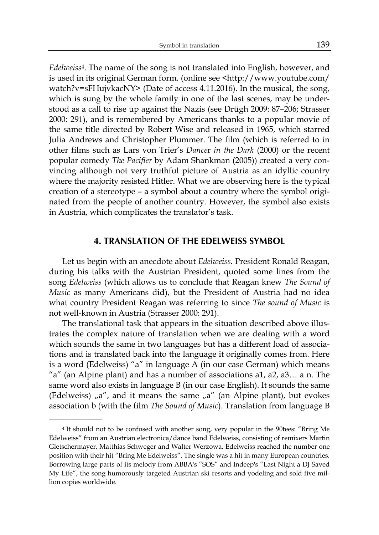*Edelweiss*4. The name of the song is not translated into English, however, and is used in its original German form. (online see <http://www.youtube.com/ watch?v=sFHujvkacNY> (Date of access 4.11.2016). In the musical, the song, which is sung by the whole family in one of the last scenes, may be understood as a call to rise up against the Nazis (see Drügh 2009: 87–206; Strasser 2000: 291), and is remembered by Americans thanks to a popular movie of the same title directed by Robert Wise and released in 1965, which starred Julia Andrews and Christopher Plummer. The film (which is referred to in other films such as Lars von Trier's *Dance*r *in the Dark* (2000) or the recent popular comedy *The Pacifier* by Adam Shankman (2005)) created a very convincing although not very truthful picture of Austria as an idyllic country where the majority resisted Hitler. What we are observing here is the typical creation of a stereotype – a symbol about a country where the symbol originated from the people of another country. However, the symbol also exists in Austria, which complicates the translator's task.

## **4. TRANSLATION OF THE EDELWEISS SYMBOL**

Let us begin with an anecdote about *Edelweiss.* President Ronald Reagan, during his talks with the Austrian President, quoted some lines from the song *Edelweiss* (which allows us to conclude that Reagan knew *The Sound of Music* as many Americans did), but the President of Austria had no idea what country President Reagan was referring to since *The sound of Music* is not well-known in Austria (Strasser 2000: 291).

The translational task that appears in the situation described above illustrates the complex nature of translation when we are dealing with a word which sounds the same in two languages but has a different load of associations and is translated back into the language it originally comes from. Here is a word (Edelweiss) "a" in language A (in our case German) which means "a" (an Alpine plant) and has a number of associations a1, a2, a3… a n. The same word also exists in language B (in our case English). It sounds the same (Edelweiss)  $\alpha$ , and it means the same  $\alpha$ <sup>"</sup> (an Alpine plant), but evokes association b (with the film *The Sound of Music*). Translation from language B

 $\mathcal{L}_\text{max}$  and  $\mathcal{L}_\text{max}$ 

<sup>4</sup> It should not to be confused with another song, very popular in the 90tees: "Bring Me Edelweiss" from an Austrian electronica/dance band Edelweiss, consisting of remixers Martin Gletschermayer, Matthias Schweger and Walter Werzowa. Edelweiss reached the number one position with their hit "Bring Me Edelweiss". The single was a hit in many European countries. Borrowing large parts of its melody from ABBA's "SOS" and Indeep's "Last Night a DJ Saved My Life", the song humorously targeted Austrian ski resorts and yodeling and sold five million copies worldwide.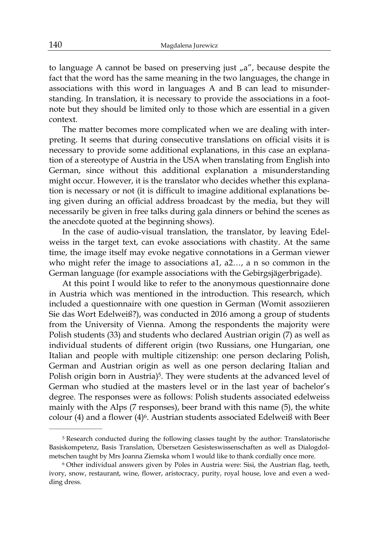to language A cannot be based on preserving just  $a''$ , because despite the fact that the word has the same meaning in the two languages, the change in associations with this word in languages A and B can lead to misunderstanding. In translation, it is necessary to provide the associations in a footnote but they should be limited only to those which are essential in a given context.

The matter becomes more complicated when we are dealing with interpreting. It seems that during consecutive translations on official visits it is necessary to provide some additional explanations, in this case an explanation of a stereotype of Austria in the USA when translating from English into German, since without this additional explanation a misunderstanding might occur. However, it is the translator who decides whether this explanation is necessary or not (it is difficult to imagine additional explanations being given during an official address broadcast by the media, but they will necessarily be given in free talks during gala dinners or behind the scenes as the anecdote quoted at the beginning shows).

In the case of audio-visual translation, the translator, by leaving Edelweiss in the target text, can evoke associations with chastity. At the same time, the image itself may evoke negative connotations in a German viewer who might refer the image to associations a1, a2…, a n so common in the German language (for example associations with the Gebirgsjägerbrigade).

At this point I would like to refer to the anonymous questionnaire done in Austria which was mentioned in the introduction. This research, which included a questionnaire with one question in German (Womit assoziieren Sie das Wort Edelweiß?), was conducted in 2016 among a group of students from the University of Vienna. Among the respondents the majority were Polish students (33) and students who declared Austrian origin (7) as well as individual students of different origin (two Russians, one Hungarian, one Italian and people with multiple citizenship: one person declaring Polish, German and Austrian origin as well as one person declaring Italian and Polish origin born in Austria)<sup>5</sup>. They were students at the advanced level of German who studied at the masters level or in the last year of bachelor's degree. The responses were as follows: Polish students associated edelweiss mainly with the Alps (7 responses), beer brand with this name (5), the white colour (4) and a flower (4)6. Austrian students associated Edelweiß with Beer

 $\mathcal{L}_\text{max}$ 

<sup>5</sup> Research conducted during the following classes taught by the author: Translatorische Basiskompetenz, Basis Translation, Übersetzen Gesisteswissenschaften as well as Dialogdolmetschen taught by Mrs Joanna Ziemska whom I would like to thank cordially once more.

<sup>6</sup> Other individual answers given by Poles in Austria were: Sisi, the Austrian flag, teeth, ivory, snow, restaurant, wine, flower, aristocracy, purity, royal house, love and even a wedding dress.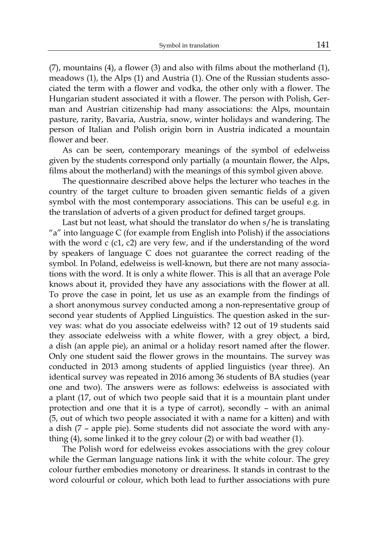(7), mountains (4), a flower (3) and also with films about the motherland (1), meadows (1), the Alps (1) and Austria (1). One of the Russian students associated the term with a flower and vodka, the other only with a flower. The Hungarian student associated it with a flower. The person with Polish, German and Austrian citizenship had many associations: the Alps, mountain pasture, rarity, Bavaria, Austria, snow, winter holidays and wandering. The person of Italian and Polish origin born in Austria indicated a mountain flower and beer.

As can be seen, contemporary meanings of the symbol of edelweiss given by the students correspond only partially (a mountain flower, the Alps, films about the motherland) with the meanings of this symbol given above.

The questionnaire described above helps the lecturer who teaches in the country of the target culture to broaden given semantic fields of a given symbol with the most contemporary associations. This can be useful e.g. in the translation of adverts of a given product for defined target groups.

Last but not least, what should the translator do when s/he is translating "a" into language C (for example from English into Polish) if the associations with the word c (c1, c2) are very few, and if the understanding of the word by speakers of language C does not guarantee the correct reading of the symbol. In Poland, edelweiss is well-known, but there are not many associations with the word. It is only a white flower. This is all that an average Pole knows about it, provided they have any associations with the flower at all. To prove the case in point, let us use as an example from the findings of a short anonymous survey conducted among a non-representative group of second year students of Applied Linguistics. The question asked in the survey was: what do you associate edelweiss with? 12 out of 19 students said they associate edelweiss with a white flower, with a grey object, a bird, a dish (an apple pie), an animal or a holiday resort named after the flower. Only one student said the flower grows in the mountains. The survey was conducted in 2013 among students of applied linguistics (year three). An identical survey was repeated in 2016 among 36 students of BA studies (year one and two). The answers were as follows: edelweiss is associated with a plant (17, out of which two people said that it is a mountain plant under protection and one that it is a type of carrot), secondly – with an animal (5, out of which two people associated it with a name for a kitten) and with a dish (7 – apple pie). Some students did not associate the word with anything (4), some linked it to the grey colour (2) or with bad weather (1).

The Polish word for edelweiss evokes associations with the grey colour while the German language nations link it with the white colour. The grey colour further embodies monotony or dreariness. It stands in contrast to the word colourful or colour, which both lead to further associations with pure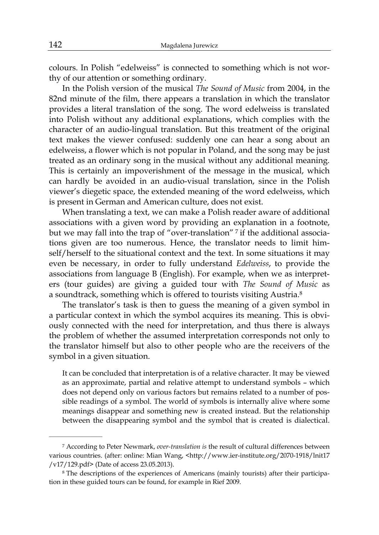colours. In Polish "edelweiss" is connected to something which is not worthy of our attention or something ordinary.

In the Polish version of the musical *The Sound of Music* from 2004, in the 82nd minute of the film, there appears a translation in which the translator provides a literal translation of the song. The word edelweiss is translated into Polish without any additional explanations, which complies with the character of an audio-lingual translation. But this treatment of the original text makes the viewer confused: suddenly one can hear a song about an edelweiss, a flower which is not popular in Poland, and the song may be just treated as an ordinary song in the musical without any additional meaning. This is certainly an impoverishment of the message in the musical, which can hardly be avoided in an audio-visual translation, since in the Polish viewer's diegetic space, the extended meaning of the word edelweiss, which is present in German and American culture, does not exist.

When translating a text, we can make a Polish reader aware of additional associations with a given word by providing an explanation in a footnote, but we may fall into the trap of "over-translation" 7 if the additional associations given are too numerous. Hence, the translator needs to limit himself/herself to the situational context and the text. In some situations it may even be necessary, in order to fully understand *Edelweiss*, to provide the associations from language B (English). For example, when we as interpreters (tour guides) are giving a guided tour with *The Sound of Music* as a soundtrack, something which is offered to tourists visiting Austria.8

The translator's task is then to guess the meaning of a given symbol in a particular context in which the symbol acquires its meaning. This is obviously connected with the need for interpretation, and thus there is always the problem of whether the assumed interpretation corresponds not only to the translator himself but also to other people who are the receivers of the symbol in a given situation.

It can be concluded that interpretation is of a relative character. It may be viewed as an approximate, partial and relative attempt to understand symbols – which does not depend only on various factors but remains related to a number of possible readings of a symbol. The world of symbols is internally alive where some meanings disappear and something new is created instead. But the relationship between the disappearing symbol and the symbol that is created is dialectical.

 $\mathcal{L}_\text{max}$  and  $\mathcal{L}_\text{max}$ 

<sup>7</sup> According to Peter Newmark, *over-translation is* the result of cultural differences between various countries. (after: online: Mian Wang, <http://www.ier-institute.org/2070-1918/lnit17 /v17/129.pdf> (Date of access 23.05.2013).

<sup>8</sup> The descriptions of the experiences of Americans (mainly tourists) after their participation in these guided tours can be found, for example in Rief 2009.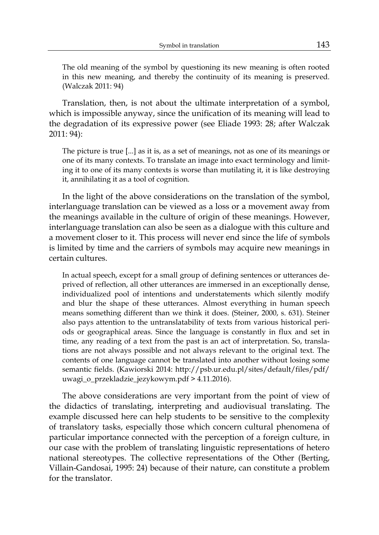The old meaning of the symbol by questioning its new meaning is often rooted in this new meaning, and thereby the continuity of its meaning is preserved. (Walczak 2011: 94)

Translation, then, is not about the ultimate interpretation of a symbol, which is impossible anyway, since the unification of its meaning will lead to the degradation of its expressive power (see Eliade 1993: 28; after Walczak 2011: 94):

The picture is true [...] as it is, as a set of meanings, not as one of its meanings or one of its many contexts. To translate an image into exact terminology and limiting it to one of its many contexts is worse than mutilating it, it is like destroying it, annihilating it as a tool of cognition.

In the light of the above considerations on the translation of the symbol, interlanguage translation can be viewed as a loss or a movement away from the meanings available in the culture of origin of these meanings. However, interlanguage translation can also be seen as a dialogue with this culture and a movement closer to it. This process will never end since the life of symbols is limited by time and the carriers of symbols may acquire new meanings in certain cultures.

In actual speech, except for a small group of defining sentences or utterances deprived of reflection, all other utterances are immersed in an exceptionally dense, individualized pool of intentions and understatements which silently modify and blur the shape of these utterances. Almost everything in human speech means something different than we think it does. (Steiner, 2000, s. 631). Steiner also pays attention to the untranslatability of texts from various historical periods or geographical areas. Since the language is constantly in flux and set in time, any reading of a text from the past is an act of interpretation. So, translations are not always possible and not always relevant to the original text. The contents of one language cannot be translated into another without losing some semantic fields. (Kawiorski 2014: http://psb.ur.edu.pl/sites/default/files/pdf/ uwagi\_o\_przekladzie\_jezykowym.pdf > 4.11.2016).

The above considerations are very important from the point of view of the didactics of translating, interpreting and audiovisual translating. The example discussed here can help students to be sensitive to the complexity of translatory tasks, especially those which concern cultural phenomena of particular importance connected with the perception of a foreign culture, in our case with the problem of translating linguistic representations of hetero national stereotypes. The collective representations of the Other (Berting, Villain-Gandosai, 1995: 24) because of their nature, can constitute a problem for the translator.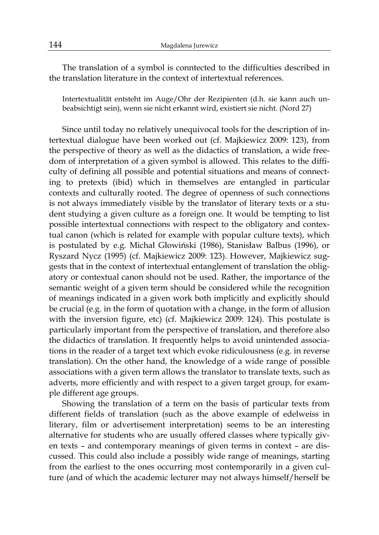The translation of a symbol is conntected to the difficulties described in the translation literature in the context of intertextual references.

Intertextualität entsteht im Auge/Ohr der Rezipienten (d.h. sie kann auch unbeabsichtigt sein), wenn sie nicht erkannt wird, existiert sie nicht. (Nord 27)

Since until today no relatively unequivocal tools for the description of intertextual dialogue have been worked out (cf. Majkiewicz 2009: 123), from the perspective of theory as well as the didactics of translation, a wide freedom of interpretation of a given symbol is allowed. This relates to the difficulty of defining all possible and potential situations and means of connecting to pretexts (ibid) which in themselves are entangled in particular contexts and culturally rooted. The degree of openness of such connections is not always immediately visible by the translator of literary texts or a student studying a given culture as a foreign one. It would be tempting to list possible intertextual connections with respect to the obligatory and contextual canon (which is related for example with popular culture texts), which is postulated by e.g. Michał Głowiński (1986), Stanisław Balbus (1996), or Ryszard Nycz (1995) (cf. Majkiewicz 2009: 123). However, Majkiewicz suggests that in the context of intertextual entanglement of translation the obligatory or contextual canon should not be used. Rather, the importance of the semantic weight of a given term should be considered while the recognition of meanings indicated in a given work both implicitly and explicitly should be crucial (e.g. in the form of quotation with a change, in the form of allusion with the inversion figure, etc) (cf. Majkiewicz 2009: 124). This postulate is particularly important from the perspective of translation, and therefore also the didactics of translation. It frequently helps to avoid unintended associations in the reader of a target text which evoke ridiculousness (e.g. in reverse translation). On the other hand, the knowledge of a wide range of possible associations with a given term allows the translator to translate texts, such as adverts, more efficiently and with respect to a given target group, for example different age groups.

Showing the translation of a term on the basis of particular texts from different fields of translation (such as the above example of edelweiss in literary, film or advertisement interpretation) seems to be an interesting alternative for students who are usually offered classes where typically given texts – and contemporary meanings of given terms in context – are discussed. This could also include a possibly wide range of meanings, starting from the earliest to the ones occurring most contemporarily in a given culture (and of which the academic lecturer may not always himself/herself be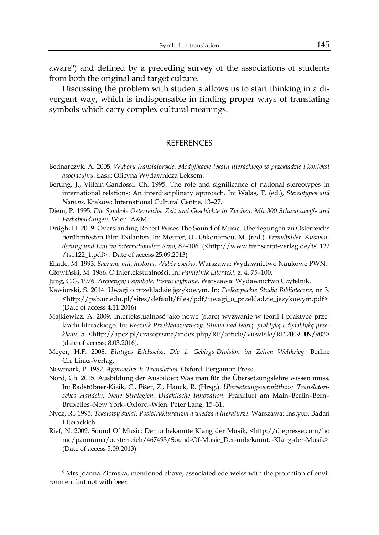aware9) and defined by a preceding survey of the associations of students from both the original and target culture.

Discussing the problem with students allows us to start thinking in a divergent way**,** which is indispensable in finding proper ways of translating symbols which carry complex cultural meanings.

#### **REFERENCES**

- Bednarczyk, A. 2005. *Wybory translatorskie. Modyfikacje tekstu literackiego w przekładzie i kontekst asocjacyjny*. Łask: Oficyna Wydawnicza Leksem.
- Berting, J., Villain-Gandossi, Ch. 1995. The role and significance of national stereotypes in international relations: An interdisciplinary approach. In: Walas, T. (ed.), *Stereotypes and Nations*. Kraków: International Cultural Centre, 13–27.
- Diem, P. 1995. *Die Symbole Österreichs. Zeit und Geschichte in Zeichen. Mit 300 Schwarzweiß- und Farbabbildungen*. Wien: A&M.
- Drügh, H. 2009. Overstanding Robert Wises The Sound of Music. Überlegungen zu Österreichs berühmtesten Film-Exilanten. In: Meurer, U., Oikonomou, M. (red.). *Fremdbilder. Auswanderung und Exil im internationalen Kino*, 87–106. (<http://www.transcript-verlag.de/ts1122 /ts1122\_1.pdf> . Date of access 25.09.2013)
- Eliade, M. 1993. *Sacrum, mit, historia. Wybór esejów*. Warszawa: Wydawnictwo Naukowe PWN.
- Głowiński, M. 1986. O intertekstualności. In: *Pamiętnik Literacki*, z. 4, 75–100.
- Jung, C.G. 1976. *Archetypy i symbole. Pisma wybrane*. Warszawa: Wydawnictwo Czytelnik.
- Kawiorski, S. 2014. Uwagi o przekładzie językowym. In: *Podkarpackie Studia Biblioteczne*, nr 3. <http://psb.ur.edu.pl/sites/default/files/pdf/uwagi\_o\_przekladzie\_jezykowym.pdf> (Date of access 4.11.2016)
- Majkiewicz, A. 2009. Intertekstualność jako nowe (stare) wyzwanie w teorii i praktyce przekładu literackiego. In: *Rocznik Przekładoznawczy. Studia nad teorią, praktyką i dydaktyką przekładu.* 5. <http://apcz.pl/czasopisma/index.php/RP/article/viewFile/RP.2009.009/903> (date of access: 8.03.2016).
- Meyer, H.F. 2008. *Blutiges Edelweiss. Die 1. Gebirgs-Division im Zeiten Weltkrieg*. Berlin: Ch. Links-Verlag.
- Newmark, P. 1982. *Approaches to Translation.* Oxford: Pergamon Press.

 $\mathcal{L}_\text{max}$  and  $\mathcal{L}_\text{max}$ 

- Nord, Ch. 2015. Ausbildung der Ausbilder: Was man für die Übersetzungslehre wissen muss. In: Badstübner-Kizik, C., Fiśer, Z., Hauck, R. (Hrsg.). *Übersetzungsvermittlung. Translatorisches Handeln. Neue Strategien. Didaktische Innovation*. Frankfurt am Main–Berlin–Bern– Bruxelles–New York–Oxford–Wien: Peter Lang, 15–31.
- Nycz, R., 1995. *Tekstowy świat. Poststrukturalizm a wiedza a literaturze*. Warszawa: Instytut Badań Literackich.
- Rief, N. 2009. Sound Of Music: Der unbekannte Klang der Musik, <http://diepresse.com/ho me/panorama/oesterreich/467493/Sound-Of-Music\_Der-unbekannte-Klang-der-Musik> (Date of access 5.09.2013).

<sup>9</sup> Mrs Joanna Ziemska, mentioned above, associated edelweiss with the protection of environment but not with beer.